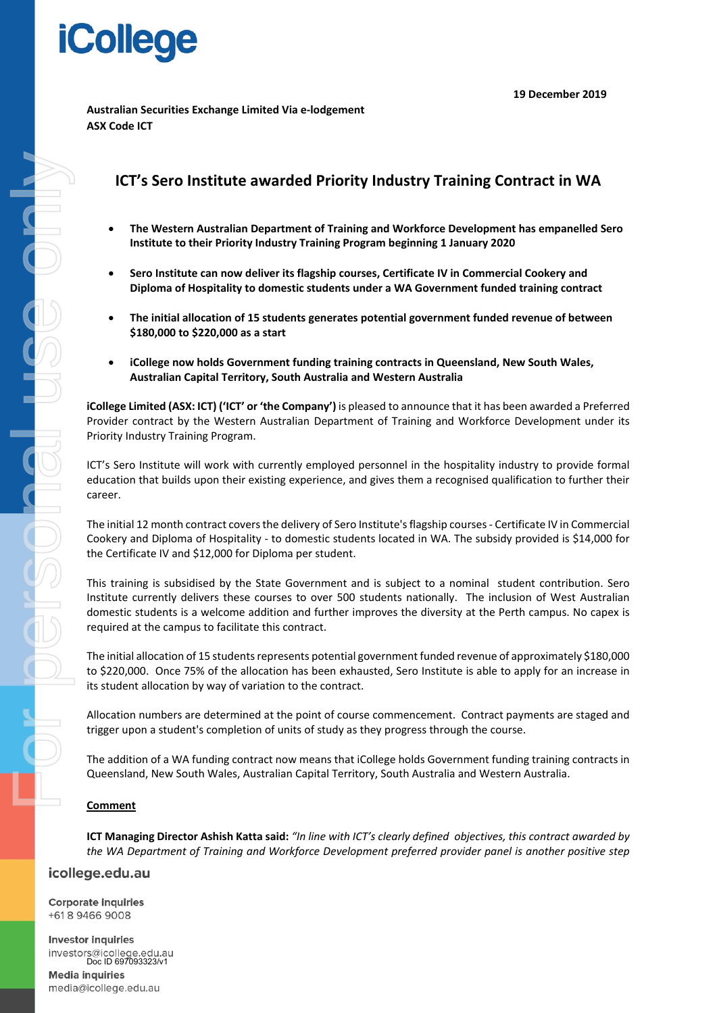# **iCollege**

**19 December 2019**

**Australian Securities Exchange Limited Via e-lodgement ASX Code ICT** 

# **ICT's Sero Institute awarded Priority Industry Training Contract in WA**

- **The Western Australian Department of Training and Workforce Development has empanelled Sero Institute to their Priority Industry Training Program beginning 1 January 2020**
- **Sero Institute can now deliver its flagship courses, Certificate IV in Commercial Cookery and Diploma of Hospitality to domestic students under a WA Government funded training contract**
- **The initial allocation of 15 students generates potential government funded revenue of between \$180,000 to \$220,000 as a start**
- **iCollege now holds Government funding training contracts in Queensland, New South Wales, Australian Capital Territory, South Australia and Western Australia**

**iCollege Limited (ASX: ICT) ('ICT' or 'the Company')** is pleased to announce that it has been awarded a Preferred Provider contract by the Western Australian Department of Training and Workforce Development under its Priority Industry Training Program.

ICT's Sero Institute will work with currently employed personnel in the hospitality industry to provide formal education that builds upon their existing experience, and gives them a recognised qualification to further their career.

The initial 12 month contract covers the delivery of Sero Institute's flagship courses - Certificate IV in Commercial Cookery and Diploma of Hospitality - to domestic students located in WA. The subsidy provided is \$14,000 for the Certificate IV and \$12,000 for Diploma per student.

This training is subsidised by the State Government and is subject to a nominal student contribution. Sero Institute currently delivers these courses to over 500 students nationally. The inclusion of West Australian domestic students is a welcome addition and further improves the diversity at the Perth campus. No capex is required at the campus to facilitate this contract.

The initial allocation of 15 students represents potential government funded revenue of approximately \$180,000 to \$220,000. Once 75% of the allocation has been exhausted, Sero Institute is able to apply for an increase in its student allocation by way of variation to the contract.

Allocation numbers are determined at the point of course commencement. Contract payments are staged and trigger upon a student's completion of units of study as they progress through the course.

The addition of a WA funding contract now means that iCollege holds Government funding training contracts in Queensland, New South Wales, Australian Capital Territory, South Australia and Western Australia.

#### **Comment**

**ICT Managing Director Ashish Katta said:** *"In line with ICT's clearly defined objectives, this contract awarded by the WA Department of Training and Workforce Development preferred provider panel is another positive step* 

## icollege.edu.au

**Corporate inquiries** +61894669008

**Investor inquiries** investors@icollege.edu.au Doc ID 697093323/v1 **Media inquiries** 

media@icollege.edu.au